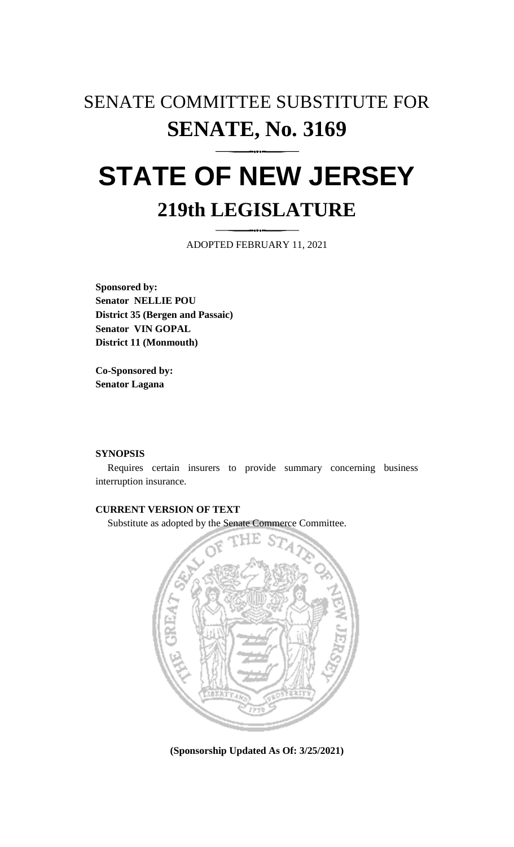## SENATE COMMITTEE SUBSTITUTE FOR **SENATE, No. 3169**

# **STATE OF NEW JERSEY 219th LEGISLATURE**

ADOPTED FEBRUARY 11, 2021

**Sponsored by: Senator NELLIE POU District 35 (Bergen and Passaic) Senator VIN GOPAL District 11 (Monmouth)**

**Co-Sponsored by: Senator Lagana**

#### **SYNOPSIS**

Requires certain insurers to provide summary concerning business interruption insurance.

### **CURRENT VERSION OF TEXT**

Substitute as adopted by the Senate Commerce Committee.



**(Sponsorship Updated As Of: 3/25/2021)**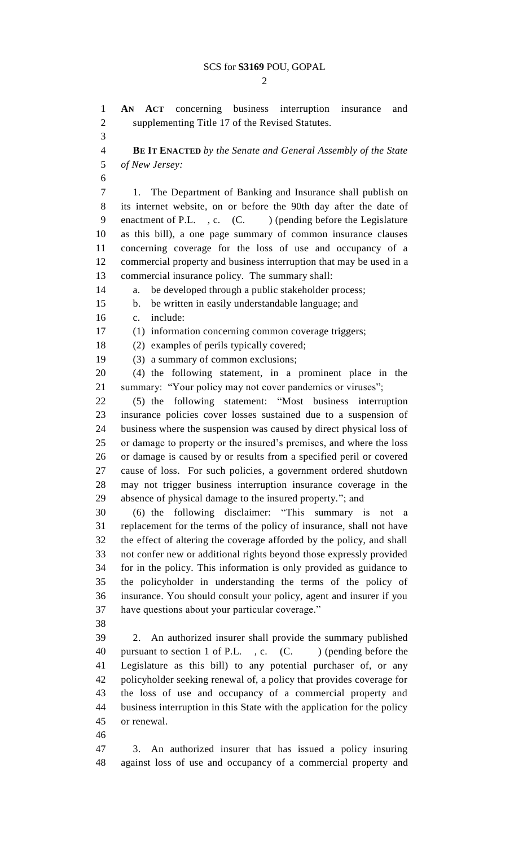$\mathcal{D}_{\mathcal{L}}$ 

 **AN ACT** concerning business interruption insurance and supplementing Title 17 of the Revised Statutes. **BE IT ENACTED** *by the Senate and General Assembly of the State of New Jersey:* 1. The Department of Banking and Insurance shall publish on its internet website, on or before the 90th day after the date of 9 enactment of P.L. , c. (C. ) (pending before the Legislature as this bill), a one page summary of common insurance clauses concerning coverage for the loss of use and occupancy of a commercial property and business interruption that may be used in a commercial insurance policy. The summary shall: a. be developed through a public stakeholder process; b. be written in easily understandable language; and c. include: (1) information concerning common coverage triggers; (2) examples of perils typically covered; (3) a summary of common exclusions; (4) the following statement, in a prominent place in the summary: "Your policy may not cover pandemics or viruses"; (5) the following statement: "Most business interruption insurance policies cover losses sustained due to a suspension of business where the suspension was caused by direct physical loss of or damage to property or the insured's premises, and where the loss or damage is caused by or results from a specified peril or covered cause of loss. For such policies, a government ordered shutdown may not trigger business interruption insurance coverage in the absence of physical damage to the insured property."; and (6) the following disclaimer: "This summary is not a replacement for the terms of the policy of insurance, shall not have the effect of altering the coverage afforded by the policy, and shall not confer new or additional rights beyond those expressly provided for in the policy. This information is only provided as guidance to the policyholder in understanding the terms of the policy of insurance. You should consult your policy, agent and insurer if you have questions about your particular coverage." 2. An authorized insurer shall provide the summary published 40 pursuant to section 1 of P.L., c. (C. ) (pending before the Legislature as this bill) to any potential purchaser of, or any policyholder seeking renewal of, a policy that provides coverage for the loss of use and occupancy of a commercial property and business interruption in this State with the application for the policy or renewal. 3. An authorized insurer that has issued a policy insuring against loss of use and occupancy of a commercial property and